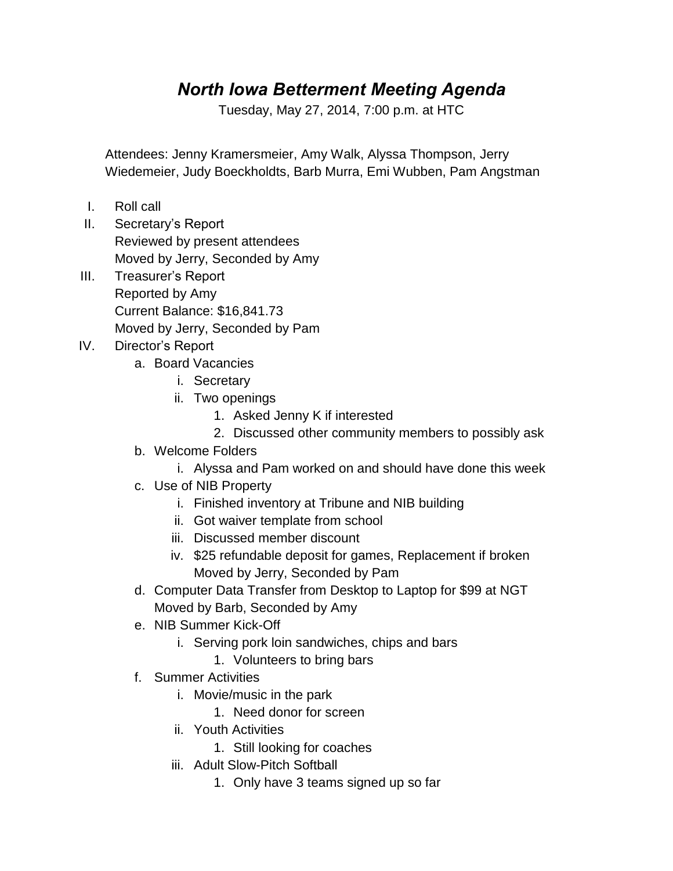## *North Iowa Betterment Meeting Agenda*

Tuesday, May 27, 2014, 7:00 p.m. at HTC

Attendees: Jenny Kramersmeier, Amy Walk, Alyssa Thompson, Jerry Wiedemeier, Judy Boeckholdts, Barb Murra, Emi Wubben, Pam Angstman

- I. Roll call
- II. Secretary's Report Reviewed by present attendees Moved by Jerry, Seconded by Amy
- III. Treasurer's Report Reported by Amy Current Balance: \$16,841.73 Moved by Jerry, Seconded by Pam
- IV. Director's Report
	- a. Board Vacancies
		- i. Secretary
		- ii. Two openings
			- 1. Asked Jenny K if interested
			- 2. Discussed other community members to possibly ask
	- b. Welcome Folders
		- i. Alyssa and Pam worked on and should have done this week
	- c. Use of NIB Property
		- i. Finished inventory at Tribune and NIB building
		- ii. Got waiver template from school
		- iii. Discussed member discount
		- iv. \$25 refundable deposit for games, Replacement if broken Moved by Jerry, Seconded by Pam
	- d. Computer Data Transfer from Desktop to Laptop for \$99 at NGT Moved by Barb, Seconded by Amy
	- e. NIB Summer Kick-Off
		- i. Serving pork loin sandwiches, chips and bars
			- 1. Volunteers to bring bars
	- f. Summer Activities
		- i. Movie/music in the park
			- 1. Need donor for screen
		- ii. Youth Activities
			- 1. Still looking for coaches
		- iii. Adult Slow-Pitch Softball
			- 1. Only have 3 teams signed up so far